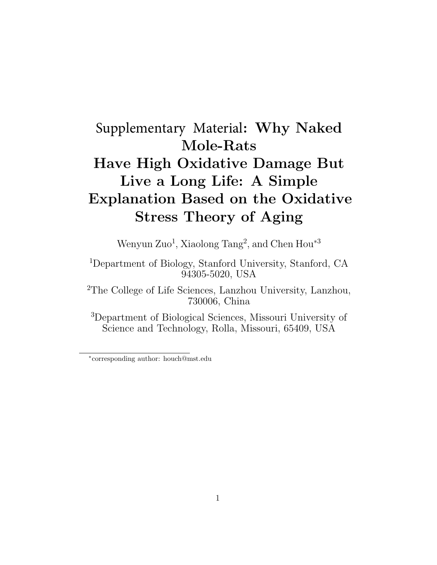## Supplementary Material: Why Naked Mole-Rats Have High Oxidative Damage But Live a Long Life: A Simple Explanation Based on the Oxidative Stress Theory of Aging

Wenyun Zuo<sup>1</sup>, Xiaolong Tang<sup>2</sup>, and Chen Hou<sup>\*3</sup>

<sup>1</sup>Department of Biology, Stanford University, Stanford, CA 94305-5020, USA

<sup>2</sup>The College of Life Sciences, Lanzhou University, Lanzhou, 730006, China

<sup>3</sup>Department of Biological Sciences, Missouri University of Science and Technology, Rolla, Missouri, 65409, USA

<sup>∗</sup> corresponding author: houch@mst.edu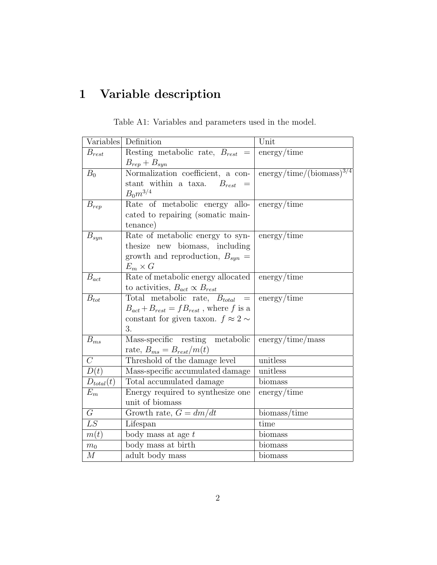## 1 Variable description

|                   | Variables Definition                            | Unit                                                   |
|-------------------|-------------------------------------------------|--------------------------------------------------------|
| $B_{rest}$        | Resting metabolic rate, $B_{rest}$ =            | energy/time                                            |
|                   | $B_{rep} + B_{syn}$                             |                                                        |
| $B_0$             | Normalization coefficient, a con-               | $\text{energy} / \text{time} / (\text{biomass})^{3/4}$ |
|                   | stant within a taxa. $B_{rest}$                 |                                                        |
|                   | $B_0 m^{3/4}$                                   |                                                        |
| $B_{rep}$         | Rate of metabolic energy allo-                  | energy/time                                            |
|                   | cated to repairing (somatic main-               |                                                        |
|                   | tenance)                                        |                                                        |
| $B_{syn}$         | Rate of metabolic energy to syn-                | $\text{energy} / \text{time}$                          |
|                   | thesize new biomass, including                  |                                                        |
|                   | growth and reproduction, $B_{syn} =$            |                                                        |
|                   | $E_m \times G$                                  |                                                        |
| $B_{act}$         | Rate of metabolic energy allocated              | energy/time                                            |
|                   | to activities, $B_{act} \propto B_{rest}$       |                                                        |
| $B_{tot}$         | Total metabolic rate, $B_{total}$<br>$=$        | energy/time                                            |
|                   | $B_{act} + B_{rest} = fB_{rest}$ , where f is a |                                                        |
|                   | constant for given taxon. $f\approx 2\sim$      |                                                        |
|                   | 3.                                              |                                                        |
| $B_{ms}$          | Mass-specific resting metabolic                 | $\text{energy} / \text{time} / \text{mass}$            |
|                   | rate, $B_{ms} = B_{rest}/m(t)$                  |                                                        |
| $\overline{C}$    | Threshold of the damage level                   | unitless                                               |
| $\overline{D(t)}$ | Mass-specific accumulated damage                | unitless                                               |
| $D_{total}(t)$    | Total accumulated damage                        | biomass                                                |
| $E_m$             | Energy required to synthesize one               | energy/time                                            |
|                   | unit of biomass                                 |                                                        |
| $\overline{G}$    | Growth rate, $G = dm/dt$                        | biomass/time                                           |
| LS                | Lifespan                                        | time                                                   |
| m(t)              | body mass at age $t$                            | <b>biomass</b>                                         |
| $m_0$             | body mass at birth                              | biomass                                                |
| M                 | adult body mass                                 | biomass                                                |

Table A1: Variables and parameters used in the model.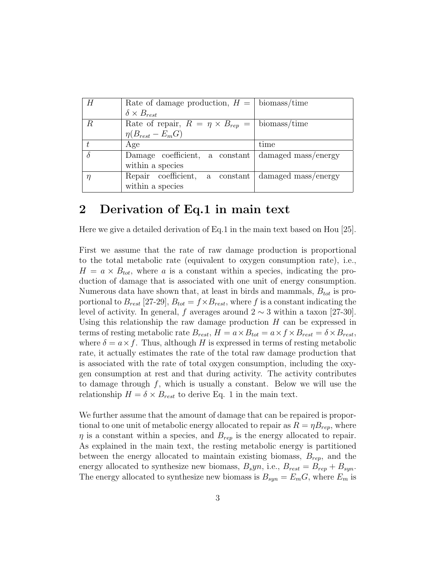|                  | Rate of damage production, $H =  $ biomass/time                    |                     |
|------------------|--------------------------------------------------------------------|---------------------|
|                  | $\delta \times B_{rest}$                                           |                     |
| $\boldsymbol{R}$ | Rate of repair, $R = \eta \times B_{rep} =  \text{biomass} \$ time |                     |
|                  | $\eta(B_{rest}-E_mG)$                                              |                     |
|                  | Age                                                                | time                |
| $\delta$         | Damage coefficient, a constant damaged mass/energy                 |                     |
|                  | within a species                                                   |                     |
| η                | Repair coefficient, a constant                                     | damaged mass/energy |
|                  | within a species                                                   |                     |

## 2 Derivation of Eq.1 in main text

Here we give a detailed derivation of Eq.1 in the main text based on Hou [25].

First we assume that the rate of raw damage production is proportional to the total metabolic rate (equivalent to oxygen consumption rate), i.e.,  $H = a \times B_{tot}$ , where a is a constant within a species, indicating the production of damage that is associated with one unit of energy consumption. Numerous data have shown that, at least in birds and mammals,  $B_{tot}$  is proportional to  $B_{rest}$  [27-29],  $B_{tot} = f \times B_{rest}$ , where f is a constant indicating the level of activity. In general, f averages around  $2 \sim 3$  within a taxon [27-30]. Using this relationship the raw damage production  $H$  can be expressed in terms of resting metabolic rate  $B_{rest}$ ,  $H = a \times B_{tot} = a \times f \times B_{rest} = \delta \times B_{rest}$ , where  $\delta = a \times f$ . Thus, although H is expressed in terms of resting metabolic rate, it actually estimates the rate of the total raw damage production that is associated with the rate of total oxygen consumption, including the oxygen consumption at rest and that during activity. The activity contributes to damage through  $f$ , which is usually a constant. Below we will use the relationship  $H = \delta \times B_{rest}$  to derive Eq. 1 in the main text.

We further assume that the amount of damage that can be repaired is proportional to one unit of metabolic energy allocated to repair as  $R = \eta B_{rep}$ , where  $\eta$  is a constant within a species, and  $B_{rep}$  is the energy allocated to repair. As explained in the main text, the resting metabolic energy is partitioned between the energy allocated to maintain existing biomass,  $B_{rep}$ , and the energy allocated to synthesize new biomass,  $B_s y n$ , i.e.,  $B_{rest} = B_{rep} + B_{syn}$ . The energy allocated to synthesize new biomass is  $B_{syn} = E_m G$ , where  $E_m$  is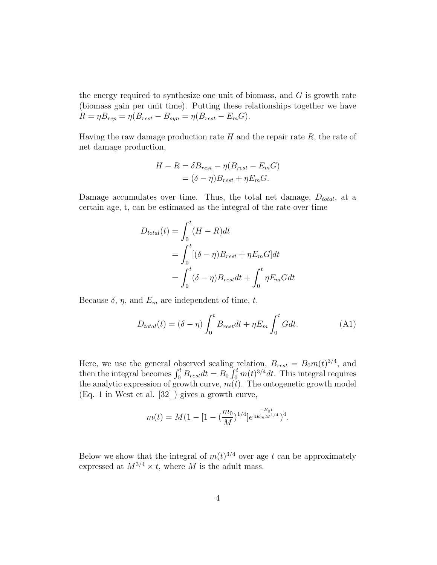the energy required to synthesize one unit of biomass, and  $G$  is growth rate (biomass gain per unit time). Putting these relationships together we have  $R = \eta B_{rep} = \eta (B_{rest} - B_{syn} = \eta (B_{rest} - E_m G).$ 

Having the raw damage production rate  $H$  and the repair rate  $R$ , the rate of net damage production,

$$
H - R = \delta B_{rest} - \eta (B_{rest} - E_m G)
$$
  
=  $(\delta - \eta) B_{rest} + \eta E_m G.$ 

Damage accumulates over time. Thus, the total net damage,  $D_{total}$ , at a certain age, t, can be estimated as the integral of the rate over time

$$
D_{total}(t) = \int_0^t (H - R)dt
$$
  
= 
$$
\int_0^t [(\delta - \eta)B_{rest} + \eta E_m G]dt
$$
  
= 
$$
\int_0^t (\delta - \eta)B_{rest}dt + \int_0^t \eta E_m Gdt
$$

Because  $\delta$ ,  $\eta$ , and  $E_m$  are independent of time, t,

$$
D_{total}(t) = (\delta - \eta) \int_0^t B_{rest} dt + \eta E_m \int_0^t G dt.
$$
 (A1)

Here, we use the general observed scaling relation,  $B_{rest} = B_0 m(t)^{3/4}$ , and then the integral becomes  $\int_0^t B_{rest} dt = B_0 \int_0^t m(t)^{3/4} dt$ . This integral requires the analytic expression of growth curve,  $m(t)$ . The ontogenetic growth model (Eq. 1 in West et al. [32] ) gives a growth curve,

$$
m(t) = M(1 - [1 - (\frac{m_0}{M})^{1/4}]e^{\frac{-B_0 t}{4E_m M^{1/4}}})^4.
$$

Below we show that the integral of  $m(t)^{3/4}$  over age t can be approximately expressed at  $M^{3/4} \times t$ , where M is the adult mass.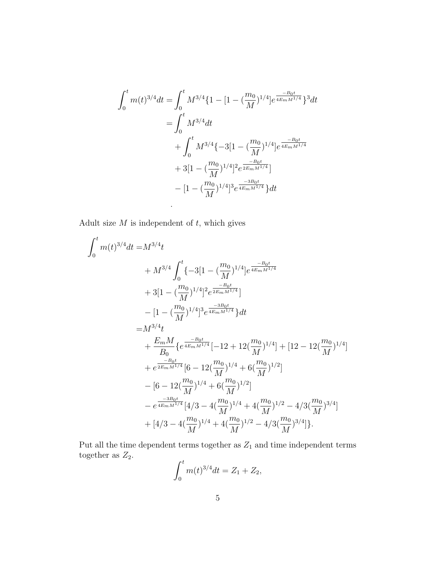$$
\int_{0}^{t} m(t)^{3/4} dt = \int_{0}^{t} M^{3/4} \{1 - [1 - (\frac{m_0}{M})^{1/4}] e^{\frac{-B_0 t}{4E_m M^{1/4}}}\}^{3} dt
$$
  
\n
$$
= \int_{0}^{t} M^{3/4} dt
$$
  
\n
$$
+ \int_{0}^{t} M^{3/4} \{-3[1 - (\frac{m_0}{M})^{1/4}] e^{\frac{-B_0 t}{4E_m M^{1/4}}}
$$
  
\n
$$
+ 3[1 - (\frac{m_0}{M})^{1/4}]^{2} e^{\frac{-B_0 t}{2E_m M^{1/4}}}
$$
  
\n
$$
- [1 - (\frac{m_0}{M})^{1/4}]^{3} e^{\frac{-3B_0 t}{4E_m M^{1/4}}}\} dt
$$

Adult size  $M$  is independent of  $t$ , which gives

.

$$
\int_{0}^{t} m(t)^{3/4} dt = M^{3/4} t
$$
\n
$$
+ M^{3/4} \int_{0}^{t} \{-3[1 - (\frac{m_0}{M})^{1/4}]e^{\frac{-B_0 t}{4E_m M^{1/4}}}
$$
\n
$$
+ 3[1 - (\frac{m_0}{M})^{1/4}]^2 e^{\frac{-B_0 t}{2E_m M^{1/4}}}]
$$
\n
$$
- [1 - (\frac{m_0}{M})^{1/4}]^3 e^{\frac{-3B_0 t}{4E_m M^{1/4}}} dt
$$
\n
$$
= M^{3/4} t
$$
\n
$$
+ \frac{E_m M}{B_0} \{e^{\frac{-B_0 t}{4E_m M^{1/4}}}[-12 + 12(\frac{m_0}{M})^{1/4}] + [12 - 12(\frac{m_0}{M})^{1/4}]
$$
\n
$$
+ e^{\frac{-B_0 t}{2E_m M^{1/4}}} [6 - 12(\frac{m_0}{M})^{1/4} + 6(\frac{m_0}{M})^{1/2}]
$$
\n
$$
- [6 - 12(\frac{m_0}{M})^{1/4} + 6(\frac{m_0}{M})^{1/2}]
$$
\n
$$
- e^{\frac{-3B_0 t}{4E_m M^{1/4}}} [4/3 - 4(\frac{m_0}{M})^{1/4} + 4(\frac{m_0}{M})^{1/2} - 4/3(\frac{m_0}{M})^{3/4}]
$$
\n
$$
+ [4/3 - 4(\frac{m_0}{M})^{1/4} + 4(\frac{m_0}{M})^{1/2} - 4/3(\frac{m_0}{M})^{3/4}].
$$

Put all the time dependent terms together as  $\mathbb{Z}_1$  and time independent terms together as  $Z_2$ .  $\cdot t$ 

$$
\int_0^t m(t)^{3/4} dt = Z_1 + Z_2,
$$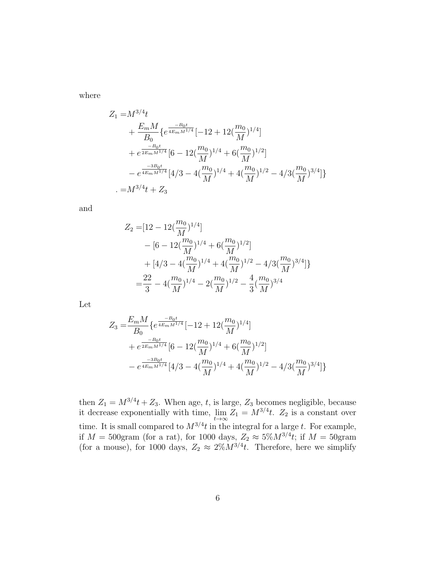where

$$
Z_{1} = M^{3/4}t
$$
  
+  $\frac{E_{m}M}{B_{0}} \{e^{\frac{-B_{0}t}{4E_{m}M^{1/4}}}\left[-12 + 12(\frac{m_{0}}{M})^{1/4}\right]$   
+  $e^{\frac{-B_{0}t}{2E_{m}M^{1/4}}}\left[6 - 12(\frac{m_{0}}{M})^{1/4} + 6(\frac{m_{0}}{M})^{1/2}\right]$   
-  $e^{\frac{-3B_{0}t}{4E_{m}M^{1/4}}}\left[4/3 - 4(\frac{m_{0}}{M})^{1/4} + 4(\frac{m_{0}}{M})^{1/2} - 4/3(\frac{m_{0}}{M})^{3/4}\right]\}$   
-  $M^{3/4}t + Z_{3}$ 

and

$$
Z_2 = [12 - 12(\frac{m_0}{M})^{1/4}]
$$
  
\n
$$
- [6 - 12(\frac{m_0}{M})^{1/4} + 6(\frac{m_0}{M})^{1/2}]
$$
  
\n
$$
+ [4/3 - 4(\frac{m_0}{M})^{1/4} + 4(\frac{m_0}{M})^{1/2} - 4/3(\frac{m_0}{M})^{3/4}]
$$
  
\n
$$
= \frac{22}{3} - 4(\frac{m_0}{M})^{1/4} - 2(\frac{m_0}{M})^{1/2} - \frac{4}{3}(\frac{m_0}{M})^{3/4}
$$

Let

$$
Z_3 = \frac{E_m M}{B_0} \{ e^{\frac{-B_0 t}{4E_m M^{1/4}}} [-12 + 12(\frac{m_0}{M})^{1/4}] + e^{\frac{-B_0 t}{2E_m M^{1/4}}} [6 - 12(\frac{m_0}{M})^{1/4} + 6(\frac{m_0}{M})^{1/2}] - e^{\frac{-3B_0 t}{4E_m M^{1/4}}} [4/3 - 4(\frac{m_0}{M})^{1/4} + 4(\frac{m_0}{M})^{1/2} - 4/3(\frac{m_0}{M})^{3/4}] \}
$$

then  $Z_1 = M^{3/4}t + Z_3$ . When age, t, is large,  $Z_3$  becomes negligible, because it decrease exponentially with time,  $\lim_{t\to\infty} Z_1 = M^{3/4}t$ .  $Z_2$  is a constant over time. It is small compared to  $M^{3/4}t$  in the integral for a large t. For example, if  $M = 500$ gram (for a rat), for 1000 days,  $Z_2 \approx 5\%M^{3/4}t$ ; if  $M = 50$ gram (for a mouse), for 1000 days,  $Z_2 \approx 2\%M^{3/4}t$ . Therefore, here we simplify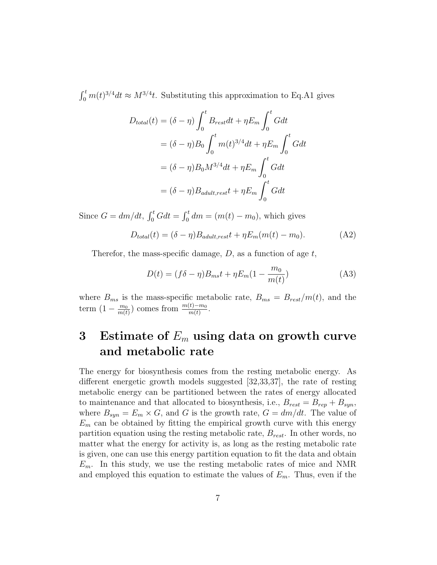$\int_0^t m(t)^{3/4} dt \approx M^{3/4}t$ . Substituting this approximation to Eq.A1 gives

$$
D_{total}(t) = (\delta - \eta) \int_0^t B_{rest} dt + \eta E_m \int_0^t G dt
$$
  

$$
= (\delta - \eta) B_0 \int_0^t m(t)^{3/4} dt + \eta E_m \int_0^t G dt
$$
  

$$
= (\delta - \eta) B_0 M^{3/4} dt + \eta E_m \int_0^t G dt
$$
  

$$
= (\delta - \eta) B_{adult, rest} t + \eta E_m \int_0^t G dt
$$

Since  $G = dm/dt$ ,  $\int_0^t G dt = \int_0^t dm = (m(t) - m_0)$ , which gives

$$
D_{total}(t) = (\delta - \eta)B_{adult,rest}t + \eta E_m(m(t) - m_0). \tag{A2}
$$

Therefor, the mass-specific damage,  $D$ , as a function of age  $t$ ,

$$
D(t) = (f\delta - \eta)B_{ms}t + \eta E_m(1 - \frac{m_0}{m(t)})
$$
 (A3)

where  $B_{ms}$  is the mass-specific metabolic rate,  $B_{ms} = B_{rest}/m(t)$ , and the term  $\left(1-\frac{m_0}{m(t)}\right)$  $\frac{m_0}{m(t)}$  comes from  $\frac{m(t)-m_0}{m(t)}$ .

## 3 Estimate of  $E_m$  using data on growth curve and metabolic rate

The energy for biosynthesis comes from the resting metabolic energy. As different energetic growth models suggested [32,33,37], the rate of resting metabolic energy can be partitioned between the rates of energy allocated to maintenance and that allocated to biosynthesis, i.e.,  $B_{rest} = B_{rep} + B_{syn}$ , where  $B_{syn} = E_m \times G$ , and G is the growth rate,  $G = dm/dt$ . The value of  $E_m$  can be obtained by fitting the empirical growth curve with this energy partition equation using the resting metabolic rate,  $B_{rest}$ . In other words, no matter what the energy for activity is, as long as the resting metabolic rate is given, one can use this energy partition equation to fit the data and obtain  $E_m$ . In this study, we use the resting metabolic rates of mice and NMR and employed this equation to estimate the values of  $E_m$ . Thus, even if the